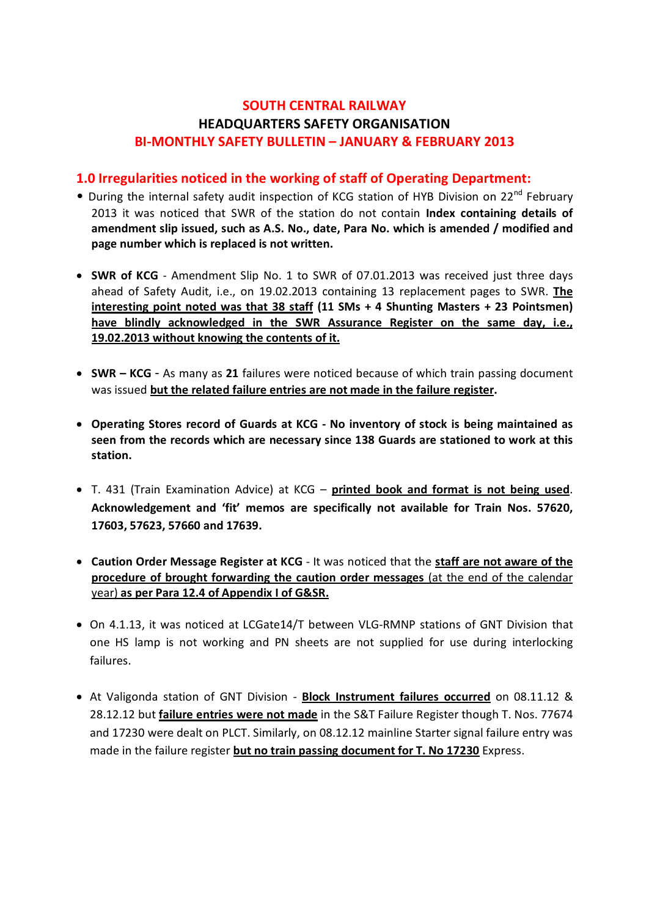# **SOUTH CENTRAL RAILWAY HEADQUARTERS SAFETY ORGANISATION BI-MONTHLY SAFETY BULLETIN – JANUARY & FEBRUARY 2013**

#### **1.0 Irregularities noticed in the working of staff of Operating Department:**

- During the internal safety audit inspection of KCG station of HYB Division on 22<sup>nd</sup> February 2013 it was noticed that SWR of the station do not contain **Index containing details of amendment slip issued, such as A.S. No., date, Para No. which is amended / modified and page number which is replaced is not written.**
- · **SWR of KCG** Amendment Slip No. 1 to SWR of 07.01.2013 was received just three days ahead of Safety Audit, i.e., on 19.02.2013 containing 13 replacement pages to SWR. **The interesting point noted was that 38 staff (11 SMs + 4 Shunting Masters + 23 Pointsmen) have blindly acknowledged in the SWR Assurance Register on the same day, i.e., 19.02.2013 without knowing the contents of it.**
- · **SWR – KCG** As many as **21** failures were noticed because of which train passing document was issued **but the related failure entries are not made in the failure register.**
- · **Operating Stores record of Guards at KCG - No inventory of stock is being maintained as seen from the records which are necessary since 138 Guards are stationed to work at this station.**
- · T. 431 (Train Examination Advice) at KCG **printed book and format is not being used**. **Acknowledgement and 'fit' memos are specifically not available for Train Nos. 57620, 17603, 57623, 57660 and 17639.**
- · **Caution Order Message Register at KCG** It was noticed that the **staff are not aware of the procedure of brought forwarding the caution order messages** (at the end of the calendar year) **as per Para 12.4 of Appendix I of G&SR.**
- · On 4.1.13, it was noticed at LCGate14/T between VLG-RMNP stations of GNT Division that one HS lamp is not working and PN sheets are not supplied for use during interlocking failures.
- · At Valigonda station of GNT Division **Block Instrument failures occurred** on 08.11.12 & 28.12.12 but **failure entries were not made** in the S&T Failure Register though T. Nos. 77674 and 17230 were dealt on PLCT. Similarly, on 08.12.12 mainline Starter signal failure entry was made in the failure register **but no train passing document for T. No 17230** Express.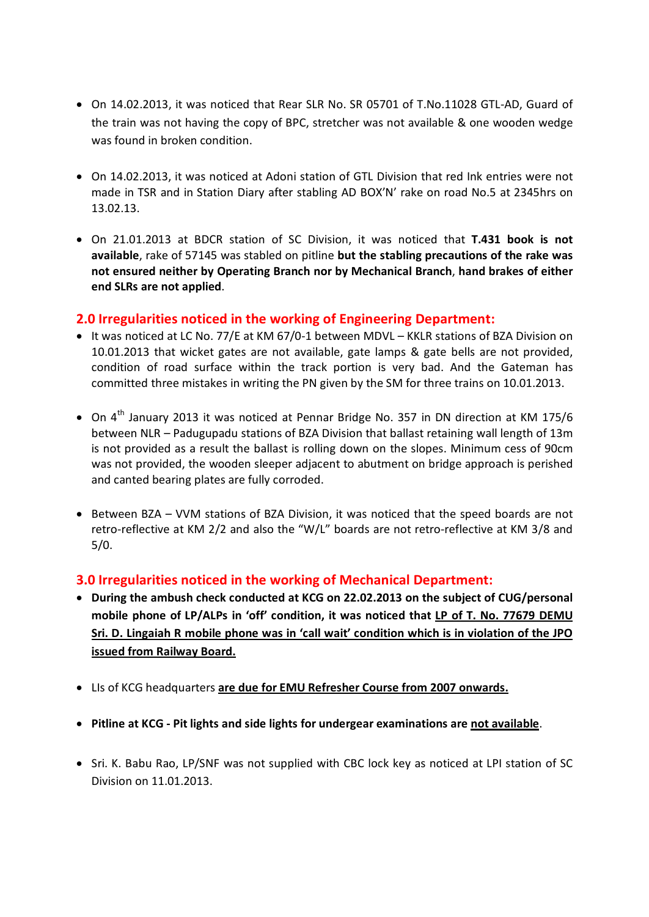- · On 14.02.2013, it was noticed that Rear SLR No. SR 05701 of T.No.11028 GTL-AD, Guard of the train was not having the copy of BPC, stretcher was not available & one wooden wedge was found in broken condition.
- · On 14.02.2013, it was noticed at Adoni station of GTL Division that red Ink entries were not made in TSR and in Station Diary after stabling AD BOX'N' rake on road No.5 at 2345hrs on 13.02.13.
- · On 21.01.2013 at BDCR station of SC Division, it was noticed that **T.431 book is not available**, rake of 57145 was stabled on pitline **but the stabling precautions of the rake was not ensured neither by Operating Branch nor by Mechanical Branch**, **hand brakes of either end SLRs are not applied**.

#### **2.0 Irregularities noticed in the working of Engineering Department:**

- · It was noticed at LC No. 77/E at KM 67/0-1 between MDVL KKLR stations of BZA Division on 10.01.2013 that wicket gates are not available, gate lamps & gate bells are not provided, condition of road surface within the track portion is very bad. And the Gateman has committed three mistakes in writing the PN given by the SM for three trains on 10.01.2013.
- On 4<sup>th</sup> January 2013 it was noticed at Pennar Bridge No. 357 in DN direction at KM 175/6 between NLR – Padugupadu stations of BZA Division that ballast retaining wall length of 13m is not provided as a result the ballast is rolling down on the slopes. Minimum cess of 90cm was not provided, the wooden sleeper adjacent to abutment on bridge approach is perished and canted bearing plates are fully corroded.
- · Between BZA VVM stations of BZA Division, it was noticed that the speed boards are not retro-reflective at KM 2/2 and also the "W/L" boards are not retro-reflective at KM 3/8 and 5/0.

### **3.0 Irregularities noticed in the working of Mechanical Department:**

- · **During the ambush check conducted at KCG on 22.02.2013 on the subject of CUG/personal mobile phone of LP/ALPs in 'off' condition, it was noticed that LP of T. No. 77679 DEMU Sri. D. Lingaiah R mobile phone was in 'call wait' condition which is in violation of the JPO issued from Railway Board.**
- · LIs of KCG headquarters **are due for EMU Refresher Course from 2007 onwards.**
- · **Pitline at KCG - Pit lights and side lights for undergear examinations are not available**.
- · Sri. K. Babu Rao, LP/SNF was not supplied with CBC lock key as noticed at LPI station of SC Division on 11.01.2013.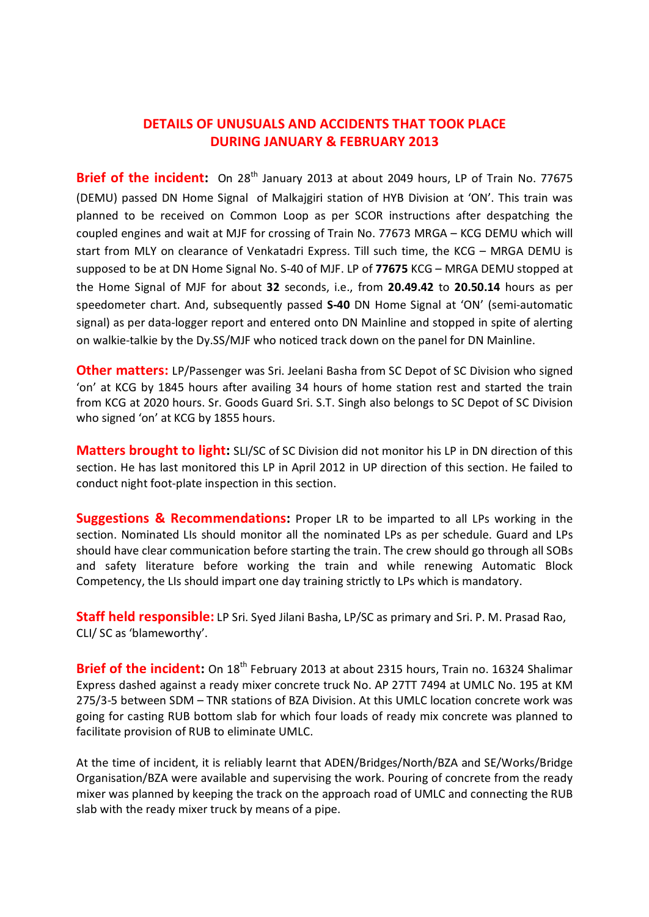## **DETAILS OF UNUSUALS AND ACCIDENTS THAT TOOK PLACE DURING JANUARY & FEBRUARY 2013**

**Brief of the incident:** On 28<sup>th</sup> January 2013 at about 2049 hours, LP of Train No. 77675 (DEMU) passed DN Home Signal of Malkajgiri station of HYB Division at 'ON'. This train was planned to be received on Common Loop as per SCOR instructions after despatching the coupled engines and wait at MJF for crossing of Train No. 77673 MRGA – KCG DEMU which will start from MLY on clearance of Venkatadri Express. Till such time, the KCG – MRGA DEMU is supposed to be at DN Home Signal No. S-40 of MJF. LP of **77675** KCG – MRGA DEMU stopped at the Home Signal of MJF for about **32** seconds, i.e., from **20.49.42** to **20.50.14** hours as per speedometer chart. And, subsequently passed **S-40** DN Home Signal at 'ON' (semi-automatic signal) as per data-logger report and entered onto DN Mainline and stopped in spite of alerting on walkie-talkie by the Dy.SS/MJF who noticed track down on the panel for DN Mainline.

**Other matters:** LP/Passenger was Sri. Jeelani Basha from SC Depot of SC Division who signed 'on' at KCG by 1845 hours after availing 34 hours of home station rest and started the train from KCG at 2020 hours. Sr. Goods Guard Sri. S.T. Singh also belongs to SC Depot of SC Division who signed 'on' at KCG by 1855 hours.

**Matters brought to light:** SLI/SC of SC Division did not monitor his LP in DN direction of this section. He has last monitored this LP in April 2012 in UP direction of this section. He failed to conduct night foot-plate inspection in this section.

**Suggestions & Recommendations:** Proper LR to be imparted to all LPs working in the section. Nominated LIs should monitor all the nominated LPs as per schedule. Guard and LPs should have clear communication before starting the train. The crew should go through all SOBs and safety literature before working the train and while renewing Automatic Block Competency, the LIs should impart one day training strictly to LPs which is mandatory.

**Staff held responsible:** LP Sri. Syed Jilani Basha, LP/SC as primary and Sri. P. M. Prasad Rao, CLI/ SC as 'blameworthy'.

**Brief of the incident:** On 18<sup>th</sup> February 2013 at about 2315 hours, Train no. 16324 Shalimar Express dashed against a ready mixer concrete truck No. AP 27TT 7494 at UMLC No. 195 at KM 275/3-5 between SDM – TNR stations of BZA Division. At this UMLC location concrete work was going for casting RUB bottom slab for which four loads of ready mix concrete was planned to facilitate provision of RUB to eliminate UMLC.

At the time of incident, it is reliably learnt that ADEN/Bridges/North/BZA and SE/Works/Bridge Organisation/BZA were available and supervising the work. Pouring of concrete from the ready mixer was planned by keeping the track on the approach road of UMLC and connecting the RUB slab with the ready mixer truck by means of a pipe.